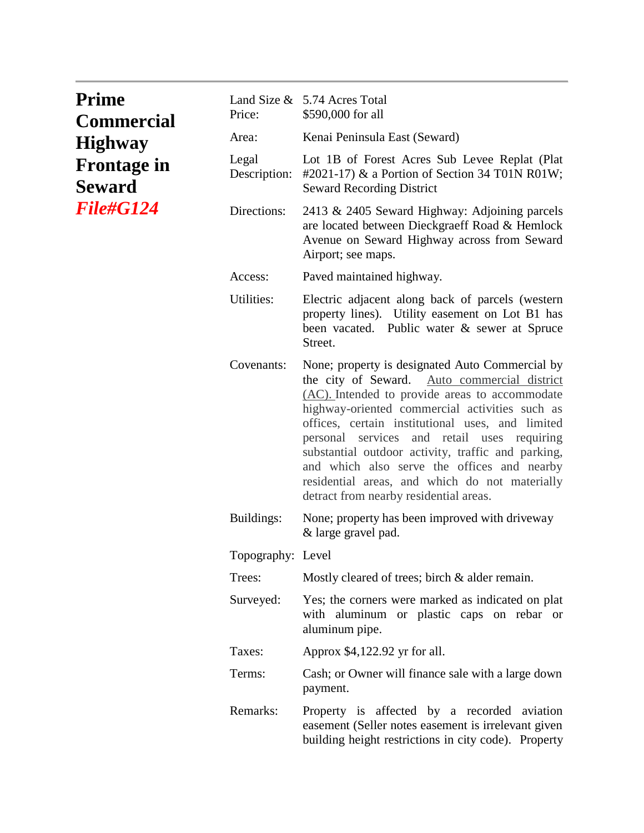| <b>Prime</b><br><b>Commercial</b><br><b>Highway</b><br><b>Frontage in</b><br><b>Seward</b><br><i><b>File#G124</b></i> | Price:                | Land Size & 5.74 Acres Total<br>\$590,000 for all                                                                                                                                                                                                                                                                                                                                                                                                                                                          |
|-----------------------------------------------------------------------------------------------------------------------|-----------------------|------------------------------------------------------------------------------------------------------------------------------------------------------------------------------------------------------------------------------------------------------------------------------------------------------------------------------------------------------------------------------------------------------------------------------------------------------------------------------------------------------------|
|                                                                                                                       | Area:                 | Kenai Peninsula East (Seward)                                                                                                                                                                                                                                                                                                                                                                                                                                                                              |
|                                                                                                                       | Legal<br>Description: | Lot 1B of Forest Acres Sub Levee Replat (Plat<br>#2021-17) & a Portion of Section 34 T01N R01W;<br><b>Seward Recording District</b>                                                                                                                                                                                                                                                                                                                                                                        |
|                                                                                                                       | Directions:           | 2413 & 2405 Seward Highway: Adjoining parcels<br>are located between Dieckgraeff Road & Hemlock<br>Avenue on Seward Highway across from Seward<br>Airport; see maps.                                                                                                                                                                                                                                                                                                                                       |
|                                                                                                                       | Access:               | Paved maintained highway.                                                                                                                                                                                                                                                                                                                                                                                                                                                                                  |
|                                                                                                                       | Utilities:            | Electric adjacent along back of parcels (western<br>property lines). Utility easement on Lot B1 has<br>been vacated. Public water & sewer at Spruce<br>Street.                                                                                                                                                                                                                                                                                                                                             |
|                                                                                                                       | Covenants:            | None; property is designated Auto Commercial by<br>the city of Seward.<br>Auto commercial district<br>(AC). Intended to provide areas to accommodate<br>highway-oriented commercial activities such as<br>offices, certain institutional uses, and limited<br>personal services and retail uses requiring<br>substantial outdoor activity, traffic and parking,<br>and which also serve the offices and nearby<br>residential areas, and which do not materially<br>detract from nearby residential areas. |
|                                                                                                                       | Buildings:            | None; property has been improved with driveway<br>& large gravel pad.                                                                                                                                                                                                                                                                                                                                                                                                                                      |
|                                                                                                                       | Topography: Level     |                                                                                                                                                                                                                                                                                                                                                                                                                                                                                                            |
|                                                                                                                       | Trees:                | Mostly cleared of trees; birch & alder remain.                                                                                                                                                                                                                                                                                                                                                                                                                                                             |
|                                                                                                                       | Surveyed:             | Yes; the corners were marked as indicated on plat<br>with aluminum or plastic caps on rebar or<br>aluminum pipe.                                                                                                                                                                                                                                                                                                                                                                                           |
|                                                                                                                       | Taxes:                | Approx \$4,122.92 yr for all.                                                                                                                                                                                                                                                                                                                                                                                                                                                                              |
|                                                                                                                       | Terms:                | Cash; or Owner will finance sale with a large down<br>payment.                                                                                                                                                                                                                                                                                                                                                                                                                                             |
|                                                                                                                       | Remarks:              | Property is affected by a recorded aviation<br>easement (Seller notes easement is irrelevant given<br>building height restrictions in city code). Property                                                                                                                                                                                                                                                                                                                                                 |